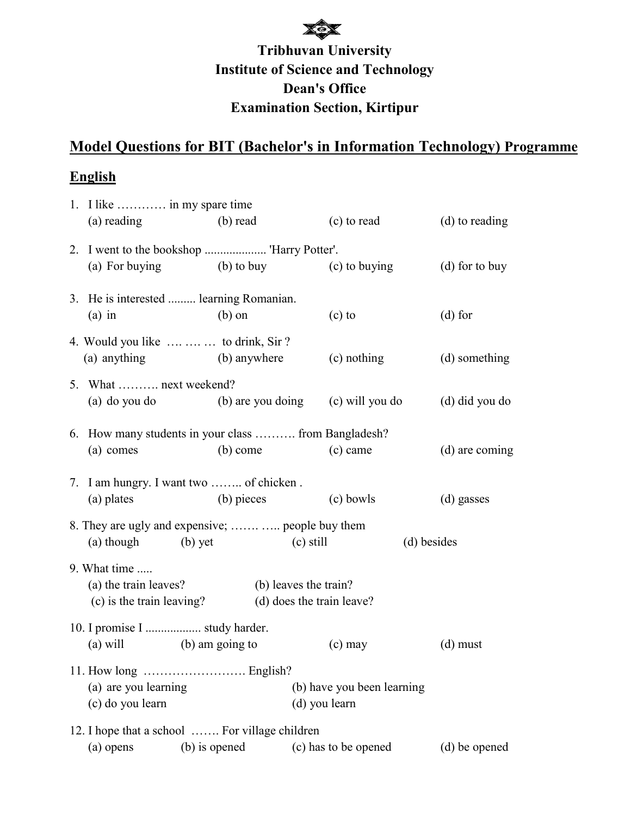# **Institute of Science and Technology Examination Section, Kirtipur Tribhuvan University Dean's Office**

### **Model Questions for BIT (Bachelor's in Information Technology) Programme**

### **English**

| 1. I like  in my spare time                                      |               |                       |                                             |             |                  |
|------------------------------------------------------------------|---------------|-----------------------|---------------------------------------------|-------------|------------------|
| (a) reading                                                      | (b) read      |                       | (c) to read                                 |             | (d) to reading   |
|                                                                  |               |                       |                                             |             |                  |
| (a) For buying (b) to buy (c) to buying                          |               |                       |                                             |             | $(d)$ for to buy |
| 3. He is interested  learning Romanian.<br>$(a)$ in              | $(b)$ on      |                       | $(c)$ to                                    |             | $(d)$ for        |
|                                                                  |               |                       |                                             |             |                  |
| 4. Would you like    to drink, Sir?<br>(a) anything (b) anywhere |               |                       | (c) nothing                                 |             | (d) something    |
| 5. What  next weekend?                                           |               |                       |                                             |             |                  |
| (a) do you do (b) are you doing (c) will you do                  |               |                       |                                             |             | (d) did you do   |
| 6. How many students in your class  from Bangladesh?             |               |                       |                                             |             |                  |
| (a) comes                                                        | (b) come      |                       | $(c)$ came                                  |             | (d) are coming   |
| 7. I am hungry. I want two  of chicken.                          |               |                       |                                             |             |                  |
| (a) plates                                                       | (b) pieces    |                       | (c) bowls                                   |             | (d) gasses       |
| 8. They are ugly and expensive;   people buy them                |               |                       |                                             |             |                  |
| (a) though (b) yet                                               | $(c)$ still   |                       |                                             | (d) besides |                  |
| 9. What time                                                     |               |                       |                                             |             |                  |
| (a) the train leaves?                                            |               | (b) leaves the train? |                                             |             |                  |
| (c) is the train leaving?                                        |               |                       | (d) does the train leave?                   |             |                  |
| 10. I promise I  study harder.                                   |               |                       |                                             |             |                  |
| (a) will (b) am going to                                         |               |                       | $(c)$ may                                   |             | $(d)$ must       |
|                                                                  |               |                       |                                             |             |                  |
| (a) are you learning<br>(c) do you learn                         |               |                       | (b) have you been learning<br>(d) you learn |             |                  |
| 12. I hope that a school  For village children                   |               |                       |                                             |             |                  |
| (a) opens                                                        | (b) is opened |                       | (c) has to be opened                        |             | (d) be opened    |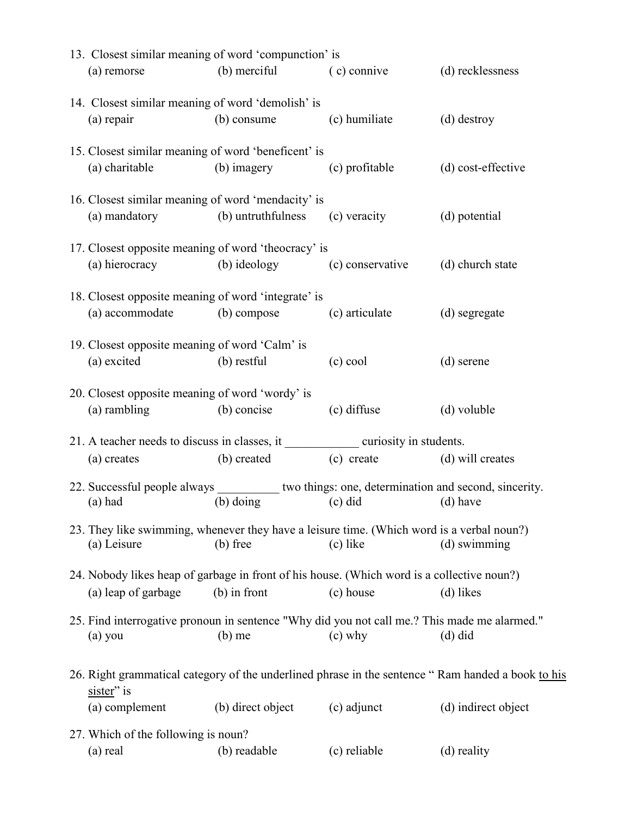| 13. Closest similar meaning of word 'compunction' is                                          |                   |                             |                                                                                                   |
|-----------------------------------------------------------------------------------------------|-------------------|-----------------------------|---------------------------------------------------------------------------------------------------|
| (a) remorse                                                                                   | (b) merciful      | (c) connive                 | (d) recklessness                                                                                  |
| 14. Closest similar meaning of word 'demolish' is                                             |                   |                             |                                                                                                   |
| $(a)$ repair                                                                                  | (b) consume       | (c) humiliate               | (d) destroy                                                                                       |
| 15. Closest similar meaning of word 'beneficent' is                                           |                   |                             |                                                                                                   |
| (a) charitable                                                                                | (b) imagery       | (c) profitable              | (d) cost-effective                                                                                |
| 16. Closest similar meaning of word 'mendacity' is                                            |                   |                             |                                                                                                   |
| (a) mandatory (b) untruthfulness                                                              |                   | (c) veracity                | (d) potential                                                                                     |
| 17. Closest opposite meaning of word 'theocracy' is                                           |                   |                             |                                                                                                   |
| (a) hierocracy (b) ideology                                                                   |                   | (c) conservative            | (d) church state                                                                                  |
| 18. Closest opposite meaning of word 'integrate' is                                           |                   |                             |                                                                                                   |
| (a) accommodate                                                                               | (b) compose       | (c) articulate              | (d) segregate                                                                                     |
| 19. Closest opposite meaning of word 'Calm' is                                                |                   |                             |                                                                                                   |
| (a) excited                                                                                   | (b) restful       | $(c)$ cool                  | (d) serene                                                                                        |
| 20. Closest opposite meaning of word 'wordy' is                                               |                   |                             |                                                                                                   |
| (a) rambling                                                                                  | (b) concise       | (c) diffuse                 | (d) voluble                                                                                       |
| 21. A teacher needs to discuss in classes, it ________________ curiosity in students.         |                   |                             |                                                                                                   |
| (a) creates                                                                                   | (b) created       | (c) create (d) will creates |                                                                                                   |
| 22. Successful people always __________ two things: one, determination and second, sincerity. |                   |                             |                                                                                                   |
| (a) had                                                                                       | $(b)$ doing       | $(c)$ did                   | (d) have                                                                                          |
| 23. They like swimming, whenever they have a leisure time. (Which word is a verbal noun?)     |                   |                             |                                                                                                   |
| (a) Leisure                                                                                   | $(b)$ free        | (c) like                    | (d) swimming                                                                                      |
| 24. Nobody likes heap of garbage in front of his house. (Which word is a collective noun?)    |                   |                             |                                                                                                   |
| (a) leap of garbage                                                                           | $(b)$ in front    | (c) house                   | (d) likes                                                                                         |
|                                                                                               |                   |                             |                                                                                                   |
| 25. Find interrogative pronoun in sentence "Why did you not call me.? This made me alarmed."  |                   |                             |                                                                                                   |
| (a) you                                                                                       | $(b)$ me          | $(c)$ why                   | $(d)$ did                                                                                         |
| sister" is                                                                                    |                   |                             | 26. Right grammatical category of the underlined phrase in the sentence "Ram handed a book to his |
| (a) complement                                                                                | (b) direct object | (c) adjunct                 | (d) indirect object                                                                               |
|                                                                                               |                   |                             |                                                                                                   |
| 27. Which of the following is noun?<br>(a) real                                               | (b) readable      | (c) reliable                | (d) reality                                                                                       |
|                                                                                               |                   |                             |                                                                                                   |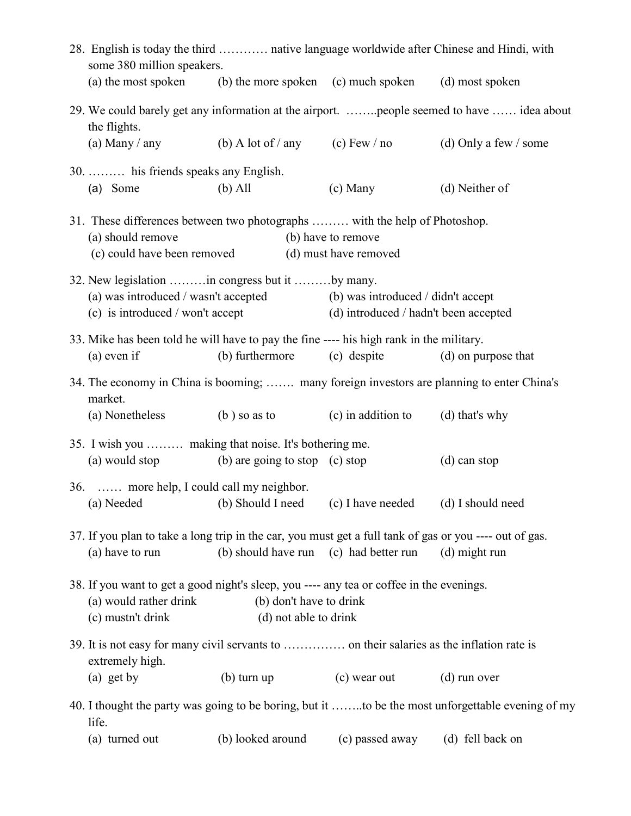|                                                                                                                                                                                             | 28. English is today the third  native language worldwide after Chinese and Hindi, with<br>some 380 million speakers.                                            |                                        |                                             |                                                                                                   |  |  |
|---------------------------------------------------------------------------------------------------------------------------------------------------------------------------------------------|------------------------------------------------------------------------------------------------------------------------------------------------------------------|----------------------------------------|---------------------------------------------|---------------------------------------------------------------------------------------------------|--|--|
|                                                                                                                                                                                             | (a) the most spoken (b) the more spoken (c) much spoken (d) most spoken                                                                                          |                                        |                                             |                                                                                                   |  |  |
|                                                                                                                                                                                             | the flights.                                                                                                                                                     |                                        |                                             | 29. We could barely get any information at the airport. people seemed to have  idea about         |  |  |
|                                                                                                                                                                                             | (a) Many $/$ any                                                                                                                                                 |                                        | (b) A lot of / any (c) Few / no             | (d) Only a few $\prime$ some                                                                      |  |  |
|                                                                                                                                                                                             | 30.  his friends speaks any English.                                                                                                                             |                                        |                                             |                                                                                                   |  |  |
|                                                                                                                                                                                             | (a) Some                                                                                                                                                         | $(b)$ All                              | (c) Many                                    | (d) Neither of                                                                                    |  |  |
|                                                                                                                                                                                             | 31. These differences between two photographs  with the help of Photoshop.<br>(a) should remove<br>(c) could have been removed                                   |                                        | (b) have to remove<br>(d) must have removed |                                                                                                   |  |  |
|                                                                                                                                                                                             | 32. New legislation  in congress but it  by many.<br>(a) was introduced / wasn't accepted (b) was introduced / didn't accept<br>(c) is introduced / won't accept |                                        | (d) introduced / hadn't been accepted       |                                                                                                   |  |  |
|                                                                                                                                                                                             | 33. Mike has been told he will have to pay the fine ---- his high rank in the military.<br>$(a)$ even if                                                         | (b) furthermore                        | (c) despite                                 | (d) on purpose that                                                                               |  |  |
|                                                                                                                                                                                             | 34. The economy in China is booming;  many foreign investors are planning to enter China's<br>market.                                                            |                                        |                                             |                                                                                                   |  |  |
|                                                                                                                                                                                             | (a) Nonetheless                                                                                                                                                  | $(b)$ so as to                         | (c) in addition to                          | $(d)$ that's why                                                                                  |  |  |
|                                                                                                                                                                                             | 35. I wish you  making that noise. It's bothering me.                                                                                                            |                                        |                                             |                                                                                                   |  |  |
|                                                                                                                                                                                             | (a) would stop (b) are going to stop (c) stop                                                                                                                    |                                        |                                             | (d) can stop                                                                                      |  |  |
|                                                                                                                                                                                             | 36.  more help, I could call my neighbor.                                                                                                                        |                                        |                                             |                                                                                                   |  |  |
|                                                                                                                                                                                             | (a) Needed (b) Should I need (c) I have needed (d) I should need                                                                                                 |                                        |                                             |                                                                                                   |  |  |
|                                                                                                                                                                                             | 37. If you plan to take a long trip in the car, you must get a full tank of gas or you ---- out of gas.                                                          |                                        |                                             |                                                                                                   |  |  |
|                                                                                                                                                                                             | (a) have to run                                                                                                                                                  | (b) should have run (c) had better run |                                             | $(d)$ might run                                                                                   |  |  |
| 38. If you want to get a good night's sleep, you ---- any tea or coffee in the evenings.<br>(a) would rather drink<br>(b) don't have to drink<br>(c) mustn't drink<br>(d) not able to drink |                                                                                                                                                                  |                                        |                                             |                                                                                                   |  |  |
|                                                                                                                                                                                             | extremely high.                                                                                                                                                  |                                        |                                             |                                                                                                   |  |  |
|                                                                                                                                                                                             | $(a)$ get by                                                                                                                                                     | $(b)$ turn up                          | (c) wear out                                | $(d)$ run over                                                                                    |  |  |
|                                                                                                                                                                                             | life.                                                                                                                                                            |                                        |                                             | 40. I thought the party was going to be boring, but it to be the most unforgettable evening of my |  |  |
|                                                                                                                                                                                             | (a) turned out                                                                                                                                                   | (b) looked around                      | (c) passed away                             | (d) fell back on                                                                                  |  |  |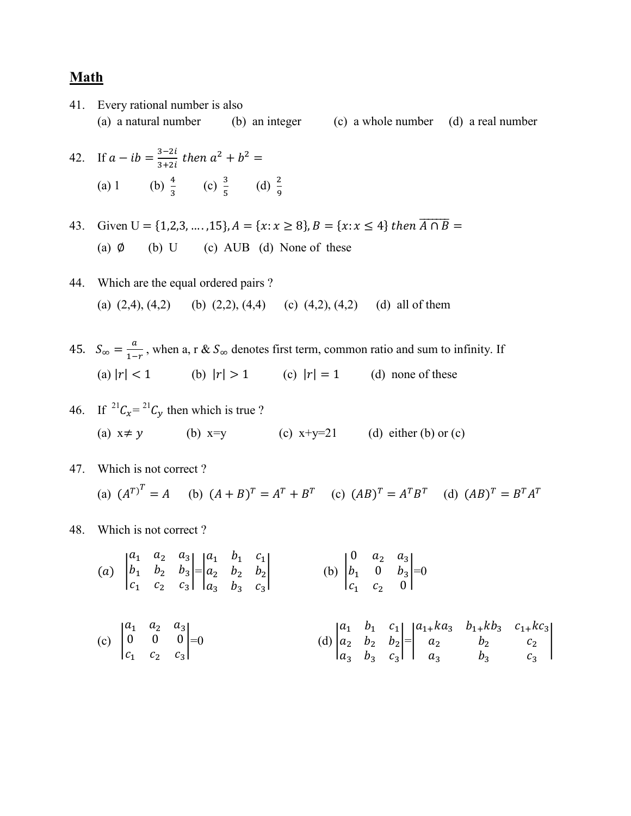#### **Math**

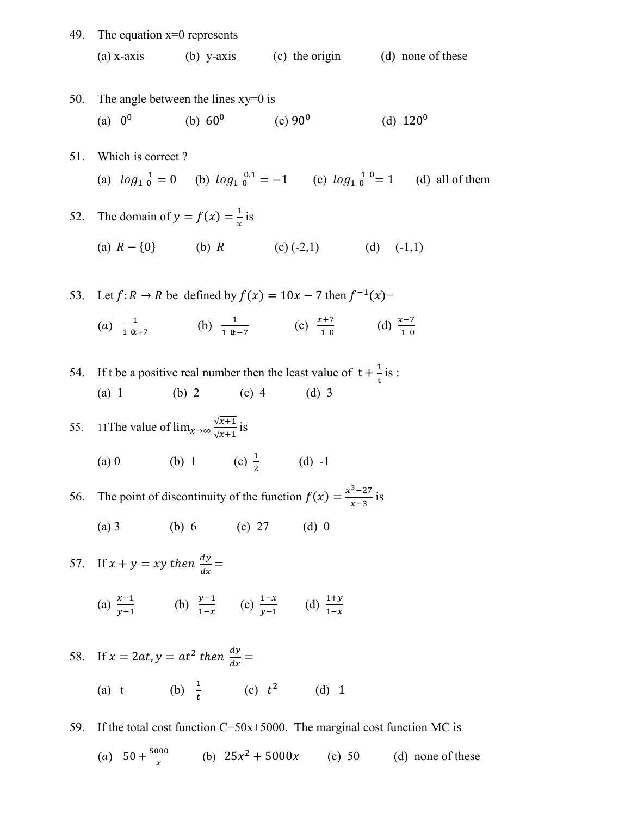49. The equation  $x=0$  represents (a) x-axis (b) y-axis (c) the origin (d) none of these

50. The angle between the lines xy=0 is  
\n(a) 
$$
0^0
$$
 (b)  $60^0$  (c)  $90^0$  (d)  $120^0$ 

51. Which is correct ? (a)  $log_{10}^{-1} = 0$  (b)  $log_{10}^{-0.1} = -1$  (c)  $log_{10}$ (d) all of them

52. The domain of 
$$
y = f(x) = \frac{1}{x}
$$
 is  
\n(a)  $R - \{0\}$  (b) R (c) (-2,1) (d) (-1,1)

53. Let  $f: R \to R$  be defined by  $f(x) = 10x - 7$  then  $f^{-1}(x) =$ (a)  $\frac{1}{10x+7}$  (b)  $\frac{1}{10x-7}$  (c)  $\frac{x+7}{10}$  (d)  $\frac{x-7}{10}$ 

54. If t be a positive real number then the least value of  $t + \frac{1}{t}$  is : (a) 1 (b) 2 (c) 4 (d) 3

55. 11 The value of 
$$
\lim_{x \to \infty} \frac{\sqrt{x+1}}{\sqrt{x+1}}
$$
 is  
\n(a) 0 \n(b) 1 \n(c)  $\frac{1}{2}$  \n(d) -1

56. The point of discontinuity of the function  $f(x) = \frac{x^3 - 27}{x - 3}$  is

(a) 3 (b) 6 (c) 27 (d) 0

57. If 
$$
x + y = xy
$$
 then  $\frac{dy}{dx} =$   
\n(a)  $\frac{x-1}{y-1}$  (b)  $\frac{y-1}{1-x}$  (c)  $\frac{1-x}{y-1}$  (d)  $\frac{1+y}{1-x}$ 

58. If 
$$
x = 2at
$$
,  $y = at^2$  then  $\frac{dy}{dx} =$   
\n(a) t\n(b)  $\frac{1}{t}$ \n(c)  $t^2$ \n(d) 1

59. If the total cost function  $C = 50x+5000$ . The marginal cost function MC is

(a)  $50 + \frac{5000}{x}$  (b)  $25x^2 + 5000x$  (c) 50 (d) none of these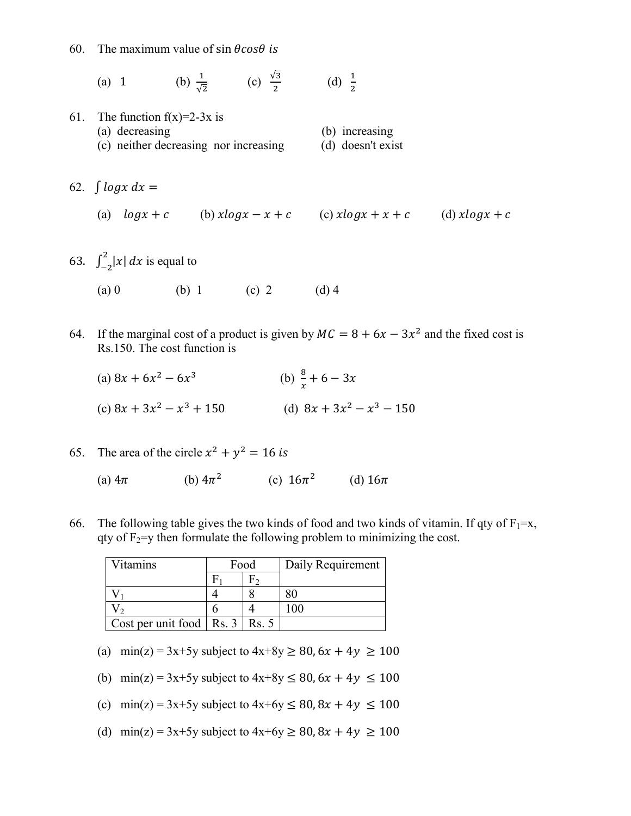60. The maximum value of sin  $\theta cos\theta$  is

(a) 1 (b) 
$$
\frac{1}{\sqrt{2}}
$$
 (c)  $\frac{\sqrt{3}}{2}$  (d)  $\frac{1}{2}$ 

- 61. The function  $f(x)=2-3x$  is (a) decreasing (b) increasing (c) neither decreasing nor increasing (d) doesn't exist
- 62.  $\int log x dx =$

(a)  $log x + c$  (b)  $xlog x - x + c$  (c)  $xlog x + x + c$  (d)  $xlog x + c$ 

63.  $\int_{-2}^{2} |x| dx$  is equal to

- (a) 0 (b) 1 (c) 2 (d) 4
- 64. If the marginal cost of a product is given by  $MC = 8 + 6x 3x^2$  and the fixed cost is Rs.150. The cost function is
	- (a)  $8x + 6x^2 6x^3$  (b)  $\frac{8}{x} + 6 3x$ (c)  $8x + 3x^2 - x^3 + 150$  (d)  $8x + 3x^2 - x^3 - 150$
- 65. The area of the circle  $x^2 + y^2 = 16$  is
	- (a)  $4\pi$  (b)  $4\pi^2$  (c)  $16\pi^2$  (d)  $16\pi$
- 66. The following table gives the two kinds of food and two kinds of vitamin. If qty of  $F_1=x$ , qty of  $F_2=$ y then formulate the following problem to minimizing the cost.

| Vitamins                     | Food |       | Daily Requirement |
|------------------------------|------|-------|-------------------|
|                              |      |       |                   |
|                              |      |       |                   |
|                              |      |       |                   |
| Cost per unit food   Rs. $3$ |      | Rs. 5 |                   |

- (a) min(z) = 3x+5y subject to  $4x+8y \ge 80$ ,  $6x + 4y \ge 100$
- (b) min(z) = 3x+5y subject to  $4x+8y \le 80$ ,  $6x + 4y \le 100$
- (c) min(z) = 3x+5y subject to  $4x+6y \le 80$ ,  $8x + 4y \le 100$
- (d) min(z) = 3x+5y subject to  $4x+6y \ge 80$ ,  $8x + 4y \ge 100$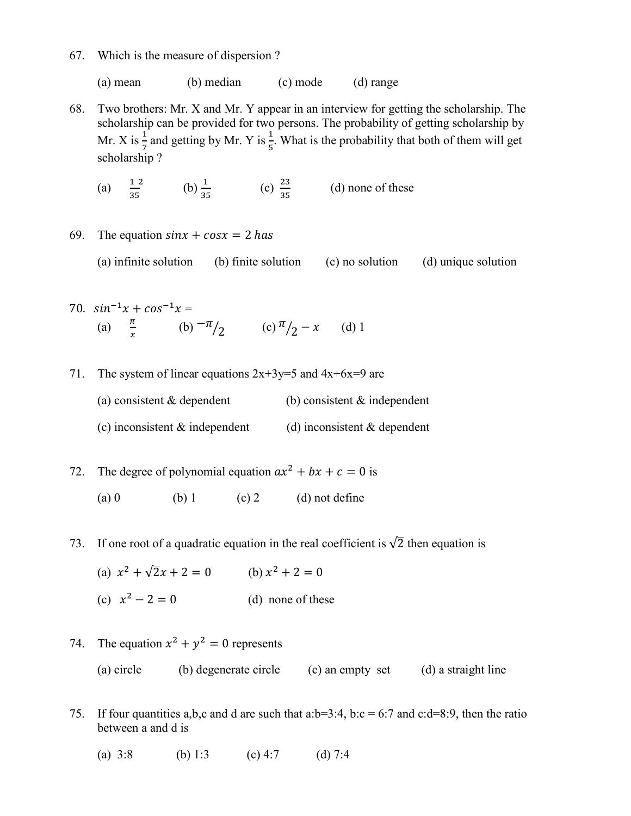67. Which is the measure of dispersion ?

(a) mean (b) median (c) mode (d) range

- 68. Two brothers: Mr. X and Mr. Y appear in an interview for getting the scholarship. The scholarship can be provided for two persons. The probability of getting scholarship by Mr. X is  $\frac{1}{7}$  and getting by Mr. Y is  $\frac{1}{5}$ . What is the probability that both of them will get scholarship ?
	- (a)  $\frac{12}{35}$  (b)  $\frac{1}{35}$  (c)  $\frac{23}{35}$  (d) none of these
- 69. The equation  $sin x + cos x = 2$  has

(a) infinite solution (b) finite solution (c) no solution (d) unique solution

- 70.  $sin^{-1}x + cos^{-1}x =$ (a)  $\frac{\pi}{x}$  (b)  $-\frac{\pi}{2}$  (c)  $\frac{\pi}{2} - x$  (d) 1
- 71. The system of linear equations  $2x+3y=5$  and  $4x+6x=9$  are
	- (a) consistent  $&$  dependent (b) consistent  $&$  independent
	- (c) inconsistent  $\&$  independent (d) inconsistent  $\&$  dependent
- 72. The degree of polynomial equation  $ax^2 + bx + c = 0$  is (a) 0 (b) 1 (c) 2 (d) not define
- 73. If one root of a quadratic equation in the real coefficient is  $\sqrt{2}$  then equation is
	- (a)  $x^2 + \sqrt{2}x + 2 = 0$  (b)  $x^2 + 2 = 0$ (c)  $x^2 - 2 = 0$  (d) none of these
- 74. The equation  $x^2 + y^2 = 0$  represents (a) circle (b) degenerate circle (c) an empty set (d) a straight line
- 75. If four quantities a,b,c and d are such that a:b=3:4, b:c = 6:7 and c:d=8:9, then the ratio between a and d is
	- (a)  $3:8$  (b) 1:3 (c)  $4:7$  (d)  $7:4$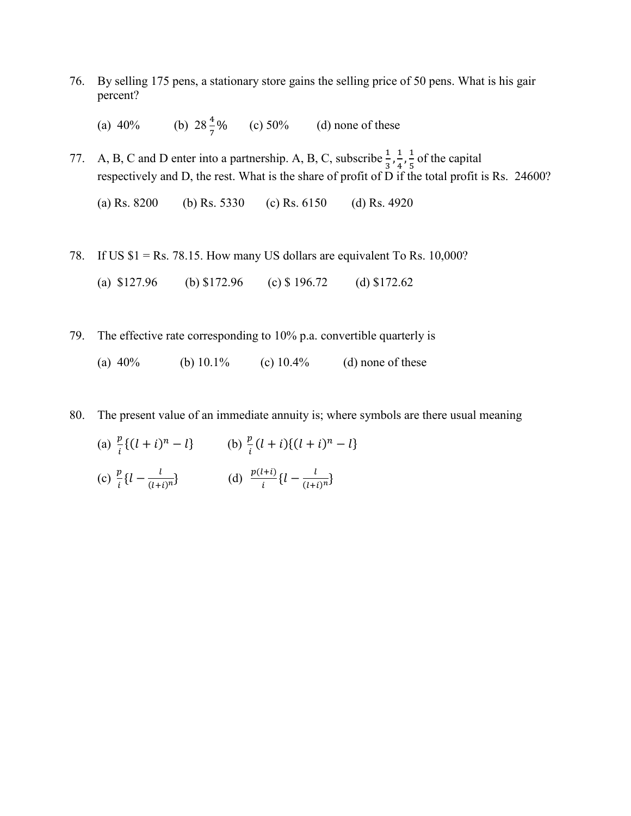76. By selling 175 pens, a stationary store gains the selling price of 50 pens. What is his gair percent?

(a)  $40\%$  (b)  $28\frac{4}{7}\%$  $(c)$  50% (d) none of these

77. A, B, C and D enter into a partnership. A, B, C, subscribe  $\frac{1}{3}, \frac{1}{4}, \frac{1}{5}$  of the capital respectively and D, the rest. What is the share of profit of D if the total profit is Rs. 24600?

(a) Rs. 8200 (b) Rs. 5330 (c) Rs. 6150 (d) Rs. 4920

78. If US  $$1 = Rs. 78.15$ . How many US dollars are equivalent To Rs. 10,000?

(a) \$127.96 (b) \$172.96 (c) \$ 196.72 (d) \$172.62

79. The effective rate corresponding to 10% p.a. convertible quarterly is

(a)  $40\%$  (b)  $10.1\%$  (c)  $10.4\%$  (d) none of these

80. The present value of an immediate annuity is; where symbols are there usual meaning

- (a)  $\frac{p}{i} \{ (l + i)^n l \}$  (b)  $\frac{p}{i} (l + i) \{ (l + i)^n l \}$
- (c)  $\frac{p}{i} \{l \frac{l}{(l+i)^n}\}\$  (d)  $\frac{p(l+i)}{i} \{l \frac{l}{(l+i)^n}\}\$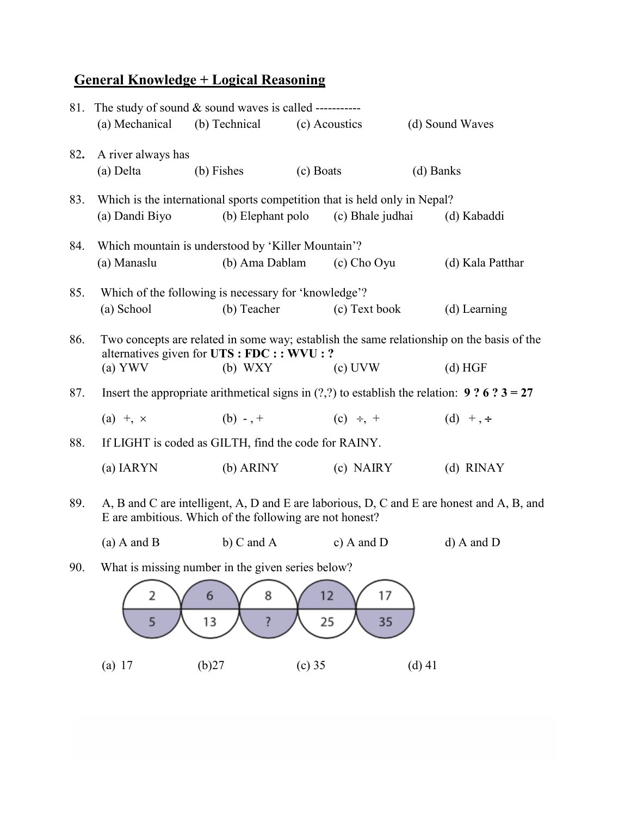## **General Knowledge + Logical Reasoning**

| 81. The study of sound $&$ sound waves is called ----------- |                                                                                                                                                      |                                                      |                                                                                               |                                                                                                |  |
|--------------------------------------------------------------|------------------------------------------------------------------------------------------------------------------------------------------------------|------------------------------------------------------|-----------------------------------------------------------------------------------------------|------------------------------------------------------------------------------------------------|--|
|                                                              | (a) Mechanical                                                                                                                                       | (b) Technical                                        | (c) Acoustics                                                                                 | (d) Sound Waves                                                                                |  |
| 82.                                                          | A river always has                                                                                                                                   |                                                      |                                                                                               |                                                                                                |  |
|                                                              | (a) Delta                                                                                                                                            | (b) Fishes                                           | (c) Boats                                                                                     | (d) Banks                                                                                      |  |
| 83.                                                          | (a) Dandi Biyo                                                                                                                                       | (b) Elephant polo                                    | Which is the international sports competition that is held only in Nepal?<br>(c) Bhale judhai | (d) Kabaddi                                                                                    |  |
|                                                              |                                                                                                                                                      |                                                      |                                                                                               |                                                                                                |  |
| 84.                                                          |                                                                                                                                                      | Which mountain is understood by 'Killer Mountain'?   |                                                                                               |                                                                                                |  |
|                                                              | (a) Manaslu                                                                                                                                          | (b) Ama Dablam                                       | (c) Cho Oyu                                                                                   | (d) Kala Patthar                                                                               |  |
| 85.                                                          |                                                                                                                                                      | Which of the following is necessary for 'knowledge'? |                                                                                               |                                                                                                |  |
|                                                              | (a) School                                                                                                                                           | (b) Teacher                                          | (c) Text book                                                                                 | (d) Learning                                                                                   |  |
| 86.                                                          | Two concepts are related in some way; establish the same relationship on the basis of the<br>alternatives given for UTS : FDC : : WVU : ?            |                                                      |                                                                                               |                                                                                                |  |
|                                                              | (a) YWV                                                                                                                                              | $(b)$ WXY                                            | $(c)$ UVW                                                                                     | (d) HGF                                                                                        |  |
| 87.                                                          |                                                                                                                                                      |                                                      |                                                                                               | Insert the appropriate arithmetical signs in (?,?) to establish the relation: 9 ? 6 ? $3 = 27$ |  |
|                                                              | $(a) + x$                                                                                                                                            | (b) - $, +$                                          | (c) $\div$ , +                                                                                | (d) +, $\div$                                                                                  |  |
| 88.                                                          | If LIGHT is coded as GILTH, find the code for RAINY.                                                                                                 |                                                      |                                                                                               |                                                                                                |  |
|                                                              | (a) IARYN                                                                                                                                            | $(b)$ ARINY                                          | (c) NAIRY                                                                                     | $(d)$ RINAY                                                                                    |  |
| 89.                                                          | A, B and C are intelligent, A, D and E are laborious, D, C and E are honest and A, B, and<br>E are ambitious. Which of the following are not honest? |                                                      |                                                                                               |                                                                                                |  |
|                                                              | $(a)$ A and B                                                                                                                                        | b) $C$ and $A$                                       | c) A and $D$                                                                                  | $d)$ A and D                                                                                   |  |

90. What is missing number in the given series below?

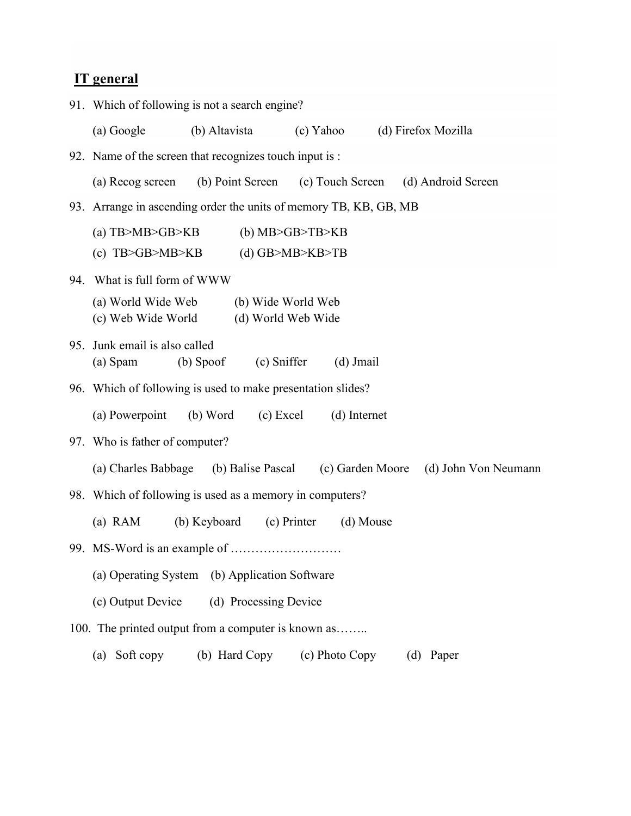## **IT general**

|     | 91. Which of following is not a search engine?                                    |                                                             |                                        |                                                      |  |
|-----|-----------------------------------------------------------------------------------|-------------------------------------------------------------|----------------------------------------|------------------------------------------------------|--|
|     | (a) Google                                                                        | (b) Altavista (c) Yahoo                                     |                                        | (d) Firefox Mozilla                                  |  |
|     |                                                                                   | 92. Name of the screen that recognizes touch input is:      |                                        |                                                      |  |
|     | (a) Recog screen                                                                  |                                                             |                                        | (b) Point Screen (c) Touch Screen (d) Android Screen |  |
|     | 93. Arrange in ascending order the units of memory TB, KB, GB, MB                 |                                                             |                                        |                                                      |  |
|     | (a) $TB > MB > GB > KB$<br>(c) $TB>GB>MB>KB$                                      |                                                             | $(b)$ MB>GB>TB>KB<br>$(d)$ GB>MB>KB>TB |                                                      |  |
| 94. |                                                                                   | What is full form of WWW                                    |                                        |                                                      |  |
|     | (a) World Wide Web<br>(b) Wide World Web<br>(c) Web Wide World (d) World Web Wide |                                                             |                                        |                                                      |  |
| 95. | Junk email is also called<br>(a) Spam                                             | $(b)$ Spoof<br>(c) Sniffer                                  | $(d)$ Jmail                            |                                                      |  |
|     |                                                                                   | 96. Which of following is used to make presentation slides? |                                        |                                                      |  |
|     | (a) Powerpoint                                                                    | (b) Word (c) Excel                                          | (d) Internet                           |                                                      |  |
|     | 97. Who is father of computer?                                                    |                                                             |                                        |                                                      |  |
|     |                                                                                   | (a) Charles Babbage (b) Balise Pascal (c) Garden Moore      |                                        | (d) John Von Neumann                                 |  |
|     |                                                                                   | 98. Which of following is used as a memory in computers?    |                                        |                                                      |  |
|     | $(a)$ RAM                                                                         | (b) Keyboard (c) Printer                                    | (d) Mouse                              |                                                      |  |
|     |                                                                                   |                                                             |                                        |                                                      |  |
|     | (b) Application Software<br>(a) Operating System                                  |                                                             |                                        |                                                      |  |
|     | (c) Output Device<br>(d) Processing Device                                        |                                                             |                                        |                                                      |  |
|     | 100. The printed output from a computer is known as                               |                                                             |                                        |                                                      |  |
|     | Soft copy<br>(a)                                                                  | (b) Hard Copy                                               | (c) Photo Copy                         | (d) Paper                                            |  |